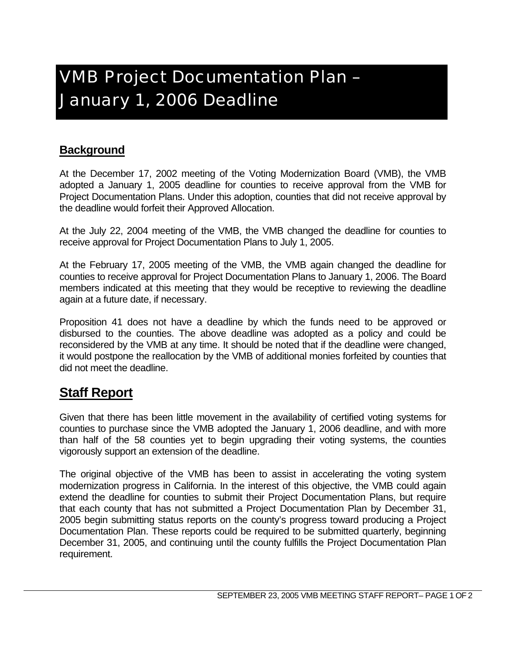## VMB Project Documentation Plan – January 1, 2006 Deadline

## **Background**

At the December 17, 2002 meeting of the Voting Modernization Board (VMB), the VMB adopted a January 1, 2005 deadline for counties to receive approval from the VMB for Project Documentation Plans. Under this adoption, counties that did not receive approval by the deadline would forfeit their Approved Allocation.

At the July 22, 2004 meeting of the VMB, the VMB changed the deadline for counties to receive approval for Project Documentation Plans to July 1, 2005.

At the February 17, 2005 meeting of the VMB, the VMB again changed the deadline for counties to receive approval for Project Documentation Plans to January 1, 2006. The Board members indicated at this meeting that they would be receptive to reviewing the deadline again at a future date, if necessary.

Proposition 41 does not have a deadline by which the funds need to be approved or disbursed to the counties. The above deadline was adopted as a policy and could be reconsidered by the VMB at any time. It should be noted that if the deadline were changed, it would postpone the reallocation by the VMB of additional monies forfeited by counties that did not meet the deadline.

## **Staff Report**

Given that there has been little movement in the availability of certified voting systems for counties to purchase since the VMB adopted the January 1, 2006 deadline, and with more than half of the 58 counties yet to begin upgrading their voting systems, the counties vigorously support an extension of the deadline.

The original objective of the VMB has been to assist in accelerating the voting system modernization progress in California. In the interest of this objective, the VMB could again extend the deadline for counties to submit their Project Documentation Plans, but require that each county that has not submitted a Project Documentation Plan by December 31, 2005 begin submitting status reports on the county's progress toward producing a Project Documentation Plan. These reports could be required to be submitted quarterly, beginning December 31, 2005, and continuing until the county fulfills the Project Documentation Plan requirement.